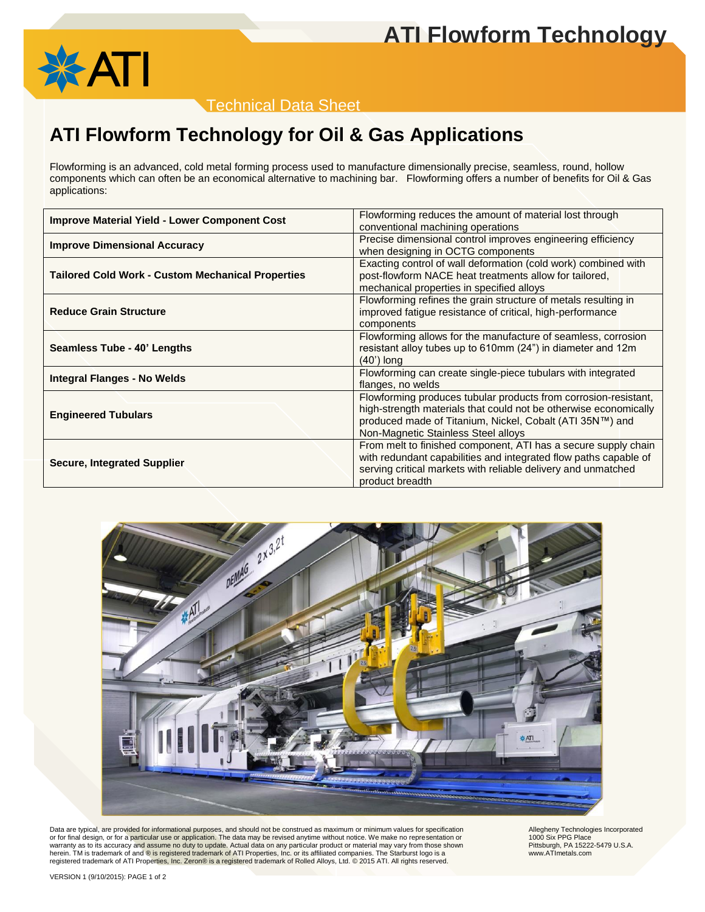# **ATI Flowform Technology**



Technical Data Sheet

## **ATI Flowform Technology for Oil & Gas Applications**

Flowforming is an advanced, cold metal forming process used to manufacture dimensionally precise, seamless, round, hollow components which can often be an economical alternative to machining bar. Flowforming offers a number of benefits for Oil & Gas applications:

| Flowforming reduces the amount of material lost through          |  |  |  |
|------------------------------------------------------------------|--|--|--|
| conventional machining operations                                |  |  |  |
| Precise dimensional control improves engineering efficiency      |  |  |  |
| when designing in OCTG components                                |  |  |  |
| Exacting control of wall deformation (cold work) combined with   |  |  |  |
| post-flowform NACE heat treatments allow for tailored,           |  |  |  |
| mechanical properties in specified alloys                        |  |  |  |
| Flowforming refines the grain structure of metals resulting in   |  |  |  |
| improved fatigue resistance of critical, high-performance        |  |  |  |
| components                                                       |  |  |  |
| Flowforming allows for the manufacture of seamless, corrosion    |  |  |  |
| resistant alloy tubes up to 610mm (24") in diameter and 12m      |  |  |  |
| $(40)$ long                                                      |  |  |  |
| Flowforming can create single-piece tubulars with integrated     |  |  |  |
| flanges, no welds                                                |  |  |  |
| Flowforming produces tubular products from corrosion-resistant,  |  |  |  |
| high-strength materials that could not be otherwise economically |  |  |  |
| produced made of Titanium, Nickel, Cobalt (ATI 35N™) and         |  |  |  |
| Non-Magnetic Stainless Steel alloys                              |  |  |  |
| From melt to finished component, ATI has a secure supply chain   |  |  |  |
| with redundant capabilities and integrated flow paths capable of |  |  |  |
| serving critical markets with reliable delivery and unmatched    |  |  |  |
| product breadth                                                  |  |  |  |
|                                                                  |  |  |  |



Data are typical, are provided for informational purposes, and should not be construed as maximum or minimum values for specification<br>or for final design, or for a particular use or application. The data may be revised any warranty as to its accuracy and assume no duty to update. Actual data on any particular product or material may vary from those shown herein. TM is trademark of and ® is registered trademark of ATI Properties, Inc. or its affiliated companies. The Starburst logo is a<br>registered trademark of ATI Properties, Inc. Zeron® is a registered trademark of Rolled

Allegheny Technologies Incorporated 1000 Six PPG Place Pittsburgh, PA 15222-5479 U.S.A. www.ATImetals.com